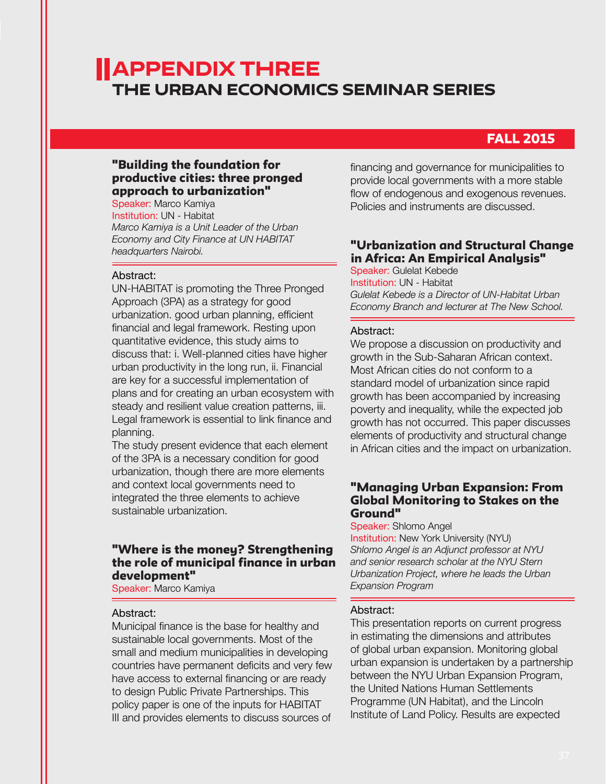# Appendix THREE The Urban Economics Seminar series

# FALL 2015

# "Building the foundation for productive cities: three pronged approach to urbanization"

Speaker: Marco Kamiya Institution: UN - Habitat *Marco Kamiya is a Unit Leader of the Urban Economy and City Finance at UN HABITAT headquarters Nairobi.* 

#### Abstract:

UN-HABITAT is promoting the Three Pronged Approach (3PA) as a strategy for good urbanization. good urban planning, efficient financial and legal framework. Resting upon quantitative evidence, this study aims to discuss that: i. Well-planned cities have higher urban productivity in the long run, ii. Financial are key for a successful implementation of plans and for creating an urban ecosystem with steady and resilient value creation patterns, iii. Legal framework is essential to link finance and planning.

The study present evidence that each element of the 3PA is a necessary condition for good urbanization, though there are more elements and context local governments need to integrated the three elements to achieve sustainable urbanization.

# "Where is the money? Strengthening the role of municipal finance in urban development"

Speaker: Marco Kamiya

#### Abstract:

Municipal finance is the base for healthy and sustainable local governments. Most of the small and medium municipalities in developing countries have permanent deficits and very few have access to external financing or are ready to design Public Private Partnerships. This policy paper is one of the inputs for HABITAT III and provides elements to discuss sources of

financing and governance for municipalities to provide local governments with a more stable flow of endogenous and exogenous revenues. Policies and instruments are discussed.

# "Urbanization and Structural Change in Africa: An Empirical Analysis"

Speaker: Gulelat Kebede Institution: UN - Habitat *Gulelat Kebede is a Director of UN-Habitat Urban Economy Branch and lecturer at The New School.*

#### Abstract:

We propose a discussion on productivity and growth in the Sub-Saharan African context. Most African cities do not conform to a standard model of urbanization since rapid growth has been accompanied by increasing poverty and inequality, while the expected job growth has not occurred. This paper discusses elements of productivity and structural change in African cities and the impact on urbanization.

# "Managing Urban Expansion: From Global Monitoring to Stakes on the Ground"

#### Speaker: Shlomo Angel

Institution: New York University (NYU) *Shlomo Angel is an Adjunct professor at NYU and senior research scholar at the NYU Stern Urbanization Project, where he leads the Urban Expansion Program*

### Abstract:

This presentation reports on current progress in estimating the dimensions and attributes of global urban expansion. Monitoring global urban expansion is undertaken by a partnership between the NYU Urban Expansion Program, the United Nations Human Settlements Programme (UN Habitat), and the Lincoln Institute of Land Policy. Results are expected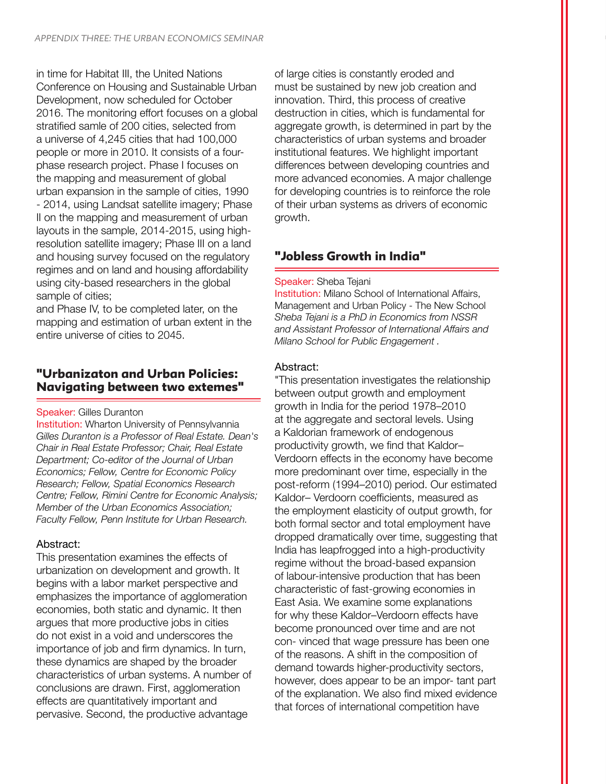in time for Habitat III, the United Nations Conference on Housing and Sustainable Urban Development, now scheduled for October 2016. The monitoring effort focuses on a global stratified samle of 200 cities, selected from a universe of 4,245 cities that had 100,000 people or more in 2010. It consists of a fourphase research project. Phase I focuses on the mapping and measurement of global urban expansion in the sample of cities, 1990 - 2014, using Landsat satellite imagery; Phase II on the mapping and measurement of urban layouts in the sample, 2014-2015, using highresolution satellite imagery; Phase III on a land and housing survey focused on the regulatory regimes and on land and housing affordability using city-based researchers in the global sample of cities;

and Phase IV, to be completed later, on the mapping and estimation of urban extent in the entire universe of cities to 2045.

# "Urbanizaton and Urban Policies: Navigating between two extemes"

#### Speaker: Gilles Duranton

Institution: Wharton University of Pennsylvannia *Gilles Duranton is a Professor of Real Estate. Dean's Chair in Real Estate Professor; Chair, Real Estate Department; Co-editor of the Journal of Urban Economics; Fellow, Centre for Economic Policy Research; Fellow, Spatial Economics Research Centre; Fellow, Rimini Centre for Economic Analysis; Member of the Urban Economics Association; Faculty Fellow, Penn Institute for Urban Research.*

# Abstract:

This presentation examines the effects of urbanization on development and growth. It begins with a labor market perspective and emphasizes the importance of agglomeration economies, both static and dynamic. It then argues that more productive jobs in cities do not exist in a void and underscores the importance of job and firm dynamics. In turn, these dynamics are shaped by the broader characteristics of urban systems. A number of conclusions are drawn. First, agglomeration effects are quantitatively important and pervasive. Second, the productive advantage

of large cities is constantly eroded and must be sustained by new job creation and innovation. Third, this process of creative destruction in cities, which is fundamental for aggregate growth, is determined in part by the characteristics of urban systems and broader institutional features. We highlight important differences between developing countries and more advanced economies. A major challenge for developing countries is to reinforce the role of their urban systems as drivers of economic growth.

# "Jobless Growth in India"

### Speaker: Sheba Tejani

**Institution: Milano School of International Affairs,** Management and Urban Policy - The New School *Sheba Tejani is a PhD in Economics from NSSR and Assistant Professor of International Affairs and Milano School for Public Engagement .*

# Abstract:

"This presentation investigates the relationship between output growth and employment growth in India for the period 1978–2010 at the aggregate and sectoral levels. Using a Kaldorian framework of endogenous productivity growth, we find that Kaldor– Verdoorn effects in the economy have become more predominant over time, especially in the post-reform (1994–2010) period. Our estimated Kaldor– Verdoorn coefficients, measured as the employment elasticity of output growth, for both formal sector and total employment have dropped dramatically over time, suggesting that India has leapfrogged into a high-productivity regime without the broad-based expansion of labour-intensive production that has been characteristic of fast-growing economies in East Asia. We examine some explanations for why these Kaldor–Verdoorn effects have become pronounced over time and are not con- vinced that wage pressure has been one of the reasons. A shift in the composition of demand towards higher-productivity sectors, however, does appear to be an impor- tant part of the explanation. We also find mixed evidence that forces of international competition have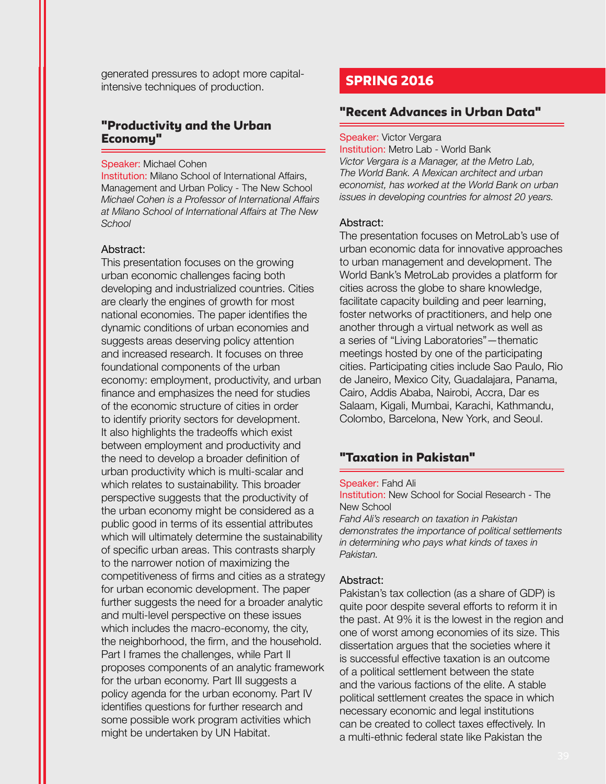generated pressures to adopt more capitalintensive techniques of production.

# "Productivity and the Urban Economy"

#### Speaker: Michael Cohen

Institution: Milano School of International Affairs, Management and Urban Policy - The New School *Michael Cohen is a Professor of International Affairs at Milano School of International Affairs at The New School*

#### Abstract:

This presentation focuses on the growing urban economic challenges facing both developing and industrialized countries. Cities are clearly the engines of growth for most national economies. The paper identifies the dynamic conditions of urban economies and suggests areas deserving policy attention and increased research. It focuses on three foundational components of the urban economy: employment, productivity, and urban finance and emphasizes the need for studies of the economic structure of cities in order to identify priority sectors for development. It also highlights the tradeoffs which exist between employment and productivity and the need to develop a broader definition of urban productivity which is multi-scalar and which relates to sustainability. This broader perspective suggests that the productivity of the urban economy might be considered as a public good in terms of its essential attributes which will ultimately determine the sustainability of specific urban areas. This contrasts sharply to the narrower notion of maximizing the competitiveness of firms and cities as a strategy for urban economic development. The paper further suggests the need for a broader analytic and multi-level perspective on these issues which includes the macro-economy, the city, the neighborhood, the firm, and the household. Part I frames the challenges, while Part II proposes components of an analytic framework for the urban economy. Part III suggests a policy agenda for the urban economy. Part IV identifies questions for further research and some possible work program activities which might be undertaken by UN Habitat.

# SPRING 2016

# "Recent Advances in Urban Data"

#### Speaker: Victor Vergara

Institution: Metro Lab - World Bank *Victor Vergara is a Manager, at the Metro Lab, The World Bank. A Mexican architect and urban economist, has worked at the World Bank on urban issues in developing countries for almost 20 years.*

#### Abstract:

The presentation focuses on MetroLab's use of urban economic data for innovative approaches to urban management and development. The World Bank's MetroLab provides a platform for cities across the globe to share knowledge, facilitate capacity building and peer learning, foster networks of practitioners, and help one another through a virtual network as well as a series of "Living Laboratories"—thematic meetings hosted by one of the participating cities. Participating cities include Sao Paulo, Rio de Janeiro, Mexico City, Guadalajara, Panama, Cairo, Addis Ababa, Nairobi, Accra, Dar es Salaam, Kigali, Mumbai, Karachi, Kathmandu, Colombo, Barcelona, New York, and Seoul.

# "Taxation in Pakistan"

#### Speaker: Fahd Ali

Institution: New School for Social Research - The New School

*Fahd Ali's research on taxation in Pakistan demonstrates the importance of political settlements in determining who pays what kinds of taxes in Pakistan.*

#### Abstract:

Pakistan's tax collection (as a share of GDP) is quite poor despite several efforts to reform it in the past. At 9% it is the lowest in the region and one of worst among economies of its size. This dissertation argues that the societies where it is successful effective taxation is an outcome of a political settlement between the state and the various factions of the elite. A stable political settlement creates the space in which necessary economic and legal institutions can be created to collect taxes effectively. In a multi-ethnic federal state like Pakistan the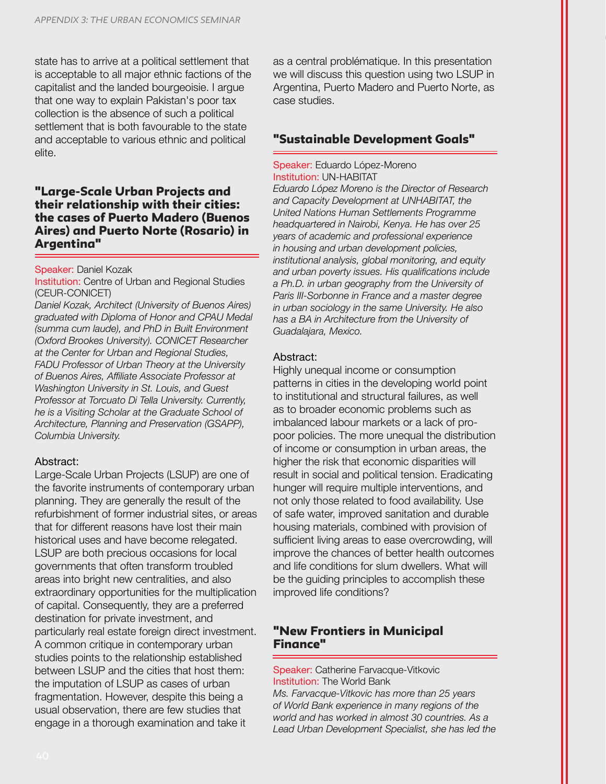state has to arrive at a political settlement that is acceptable to all major ethnic factions of the capitalist and the landed bourgeoisie. I argue that one way to explain Pakistan's poor tax collection is the absence of such a political settlement that is both favourable to the state and acceptable to various ethnic and political elite.

# "Large-Scale Urban Projects and their relationship with their cities: the cases of Puerto Madero (Buenos Aires) and Puerto Norte (Rosario) in Argentina"

#### Speaker: Daniel Kozak

Institution: Centre of Urban and Regional Studies (CEUR-CONICET)

*Daniel Kozak, Architect (University of Buenos Aires) graduated with Diploma of Honor and CPAU Medal (summa cum laude), and PhD in Built Environment (Oxford Brookes University). CONICET Researcher at the Center for Urban and Regional Studies, FADU Professor of Urban Theory at the University of Buenos Aires, Affiliate Associate Professor at Washington University in St. Louis, and Guest Professor at Torcuato Di Tella University. Currently, he is a Visiting Scholar at the Graduate School of Architecture, Planning and Preservation (GSAPP), Columbia University.*

#### Abstract:

Large-Scale Urban Projects (LSUP) are one of the favorite instruments of contemporary urban planning. They are generally the result of the refurbishment of former industrial sites, or areas that for different reasons have lost their main historical uses and have become relegated. LSUP are both precious occasions for local governments that often transform troubled areas into bright new centralities, and also extraordinary opportunities for the multiplication of capital. Consequently, they are a preferred destination for private investment, and particularly real estate foreign direct investment. A common critique in contemporary urban studies points to the relationship established between LSUP and the cities that host them: the imputation of LSUP as cases of urban fragmentation. However, despite this being a usual observation, there are few studies that engage in a thorough examination and take it

as a central problématique. In this presentation we will discuss this question using two LSUP in Argentina, Puerto Madero and Puerto Norte, as case studies.

# "Sustainable Development Goals"

#### Speaker: Eduardo López-Moreno Institution: UN-HABITAT

*Eduardo López Moreno is the Director of Research and Capacity Development at UNHABITAT, the United Nations Human Settlements Programme headquartered in Nairobi, Kenya. He has over 25 years of academic and professional experience in housing and urban development policies, institutional analysis, global monitoring, and equity and urban poverty issues. His qualifications include a Ph.D. in urban geography from the University of Paris III-Sorbonne in France and a master degree in urban sociology in the same University. He also has a BA in Architecture from the University of Guadalajara, Mexico.*

### Abstract:

Highly unequal income or consumption patterns in cities in the developing world point to institutional and structural failures, as well as to broader economic problems such as imbalanced labour markets or a lack of propoor policies. The more unequal the distribution of income or consumption in urban areas, the higher the risk that economic disparities will result in social and political tension. Eradicating hunger will require multiple interventions, and not only those related to food availability. Use of safe water, improved sanitation and durable housing materials, combined with provision of sufficient living areas to ease overcrowding, will improve the chances of better health outcomes and life conditions for slum dwellers. What will be the guiding principles to accomplish these improved life conditions?

# "New Frontiers in Municipal Finance"

Speaker: Catherine Farvacque-Vitkovic Institution: The World Bank *Ms. Farvacque-Vitkovic has more than 25 years of World Bank experience in many regions of the world and has worked in almost 30 countries. As a Lead Urban Development Specialist, she has led the*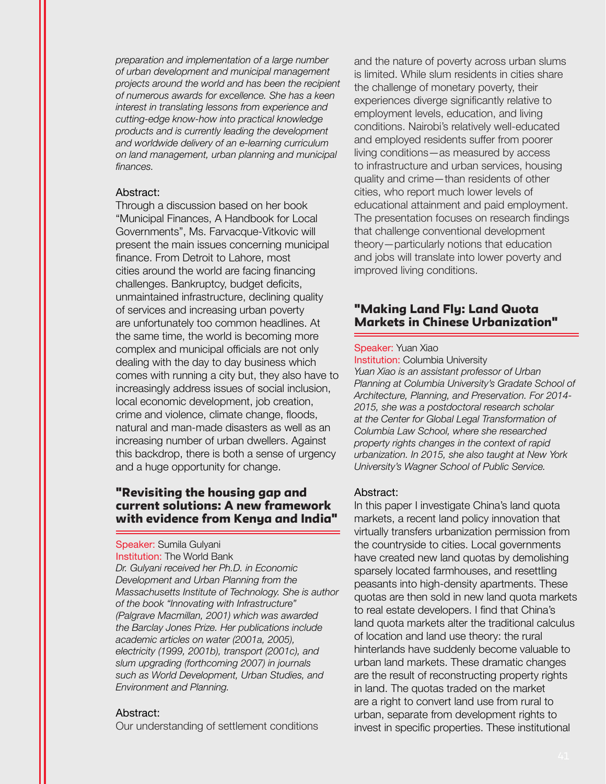*preparation and implementation of a large number of urban development and municipal management projects around the world and has been the recipient of numerous awards for excellence. She has a keen interest in translating lessons from experience and cutting-edge know-how into practical knowledge products and is currently leading the development and worldwide delivery of an e-learning curriculum on land management, urban planning and municipal finances.*

#### Abstract:

Through a discussion based on her book "Municipal Finances, A Handbook for Local Governments", Ms. Farvacque-Vitkovic will present the main issues concerning municipal finance. From Detroit to Lahore, most cities around the world are facing financing challenges. Bankruptcy, budget deficits, unmaintained infrastructure, declining quality of services and increasing urban poverty are unfortunately too common headlines. At the same time, the world is becoming more complex and municipal officials are not only dealing with the day to day business which comes with running a city but, they also have to increasingly address issues of social inclusion, local economic development, job creation, crime and violence, climate change, floods, natural and man-made disasters as well as an increasing number of urban dwellers. Against this backdrop, there is both a sense of urgency and a huge opportunity for change.

# "Revisiting the housing gap and current solutions: A new framework with evidence from Kenya and India"

#### Speaker: Sumila Gulyani Institution: The World Bank

*Dr. Gulyani received her Ph.D. in Economic Development and Urban Planning from the Massachusetts Institute of Technology. She is author of the book "Innovating with Infrastructure" (Palgrave Macmillan, 2001) which was awarded the Barclay Jones Prize. Her publications include academic articles on water (2001a, 2005), electricity (1999, 2001b), transport (2001c), and slum upgrading (forthcoming 2007) in journals such as World Development, Urban Studies, and Environment and Planning.*

#### Abstract:

Our understanding of settlement conditions

and the nature of poverty across urban slums is limited. While slum residents in cities share the challenge of monetary poverty, their experiences diverge significantly relative to employment levels, education, and living conditions. Nairobi's relatively well-educated and employed residents suffer from poorer living conditions—as measured by access to infrastructure and urban services, housing quality and crime—than residents of other cities, who report much lower levels of educational attainment and paid employment. The presentation focuses on research findings that challenge conventional development theory—particularly notions that education and jobs will translate into lower poverty and improved living conditions.

# "Making Land Fly: Land Quota Markets in Chinese Urbanization"

#### Speaker: Yuan Xiao

Institution: Columbia University *Yuan Xiao is an assistant professor of Urban Planning at Columbia University's Gradate School of Architecture, Planning, and Preservation. For 2014- 2015, she was a postdoctoral research scholar at the Center for Global Legal Transformation of Columbia Law School, where she researched property rights changes in the context of rapid urbanization. In 2015, she also taught at New York University's Wagner School of Public Service.* 

#### Abstract:

In this paper I investigate China's land quota markets, a recent land policy innovation that virtually transfers urbanization permission from the countryside to cities. Local governments have created new land quotas by demolishing sparsely located farmhouses, and resettling peasants into high-density apartments. These quotas are then sold in new land quota markets to real estate developers. I find that China's land quota markets alter the traditional calculus of location and land use theory: the rural hinterlands have suddenly become valuable to urban land markets. These dramatic changes are the result of reconstructing property rights in land. The quotas traded on the market are a right to convert land use from rural to urban, separate from development rights to invest in specific properties. These institutional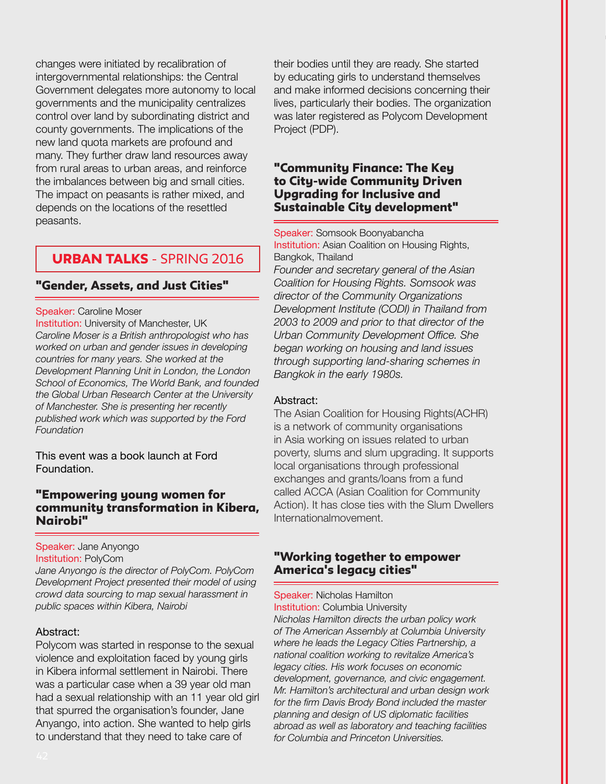changes were initiated by recalibration of intergovernmental relationships: the Central Government delegates more autonomy to local governments and the municipality centralizes control over land by subordinating district and county governments. The implications of the new land quota markets are profound and many. They further draw land resources away from rural areas to urban areas, and reinforce the imbalances between big and small cities. The impact on peasants is rather mixed, and depends on the locations of the resettled peasants.

# URBAN TALKS - SPRING 2016

# "Gender, Assets, and Just Cities"

Speaker: Caroline Moser

Institution: University of Manchester, UK *Caroline Moser is a British anthropologist who has worked on urban and gender issues in developing countries for many years. She worked at the Development Planning Unit in London, the London School of Economics, The World Bank, and founded the Global Urban Research Center at the University of Manchester. She is presenting her recently published work which was supported by the Ford Foundation*

This event was a book launch at Ford Foundation.

# "Empowering young women for community transformation in Kibera, Nairobi"

#### Speaker: Jane Anyongo Institution: PolyCom

*Jane Anyongo is the director of PolyCom. PolyCom Development Project presented their model of using crowd data sourcing to map sexual harassment in public spaces within Kibera, Nairobi*

# Abstract:

Polycom was started in response to the sexual violence and exploitation faced by young girls in Kibera informal settlement in Nairobi. There was a particular case when a 39 year old man had a sexual relationship with an 11 year old girl that spurred the organisation's founder, Jane Anyango, into action. She wanted to help girls to understand that they need to take care of

their bodies until they are ready. She started by educating girls to understand themselves and make informed decisions concerning their lives, particularly their bodies. The organization was later registered as Polycom Development Project (PDP).

### "Community Finance: The Key to City-wide Community Driven Upgrading for Inclusive and Sustainable City development"

Speaker: Somsook Boonyabancha **Institution:** Asian Coalition on Housing Rights, Bangkok, Thailand

*Founder and secretary general of the Asian Coalition for Housing Rights. Somsook was director of the Community Organizations Development Institute (CODI) in Thailand from 2003 to 2009 and prior to that director of the Urban Community Development Office. She began working on housing and land issues through supporting land-sharing schemes in Bangkok in the early 1980s.*

#### Abstract:

The Asian Coalition for Housing Rights(ACHR) is a network of community organisations in Asia working on issues related to urban poverty, slums and slum upgrading. It supports local organisations through professional exchanges and grants/loans from a fund called ACCA (Asian Coalition for Community Action). It has close ties with the Slum Dwellers Internationalmovement.

# "Working together to empower America's legacy cities"

Speaker: Nicholas Hamilton Institution: Columbia University *Nicholas Hamilton directs the urban policy work of The American Assembly at Columbia University where he leads the Legacy Cities Partnership, a national coalition working to revitalize America's legacy cities. His work focuses on economic development, governance, and civic engagement. Mr. Hamilton's architectural and urban design work for the firm Davis Brody Bond included the master planning and design of US diplomatic facilities abroad as well as laboratory and teaching facilities for Columbia and Princeton Universities.*